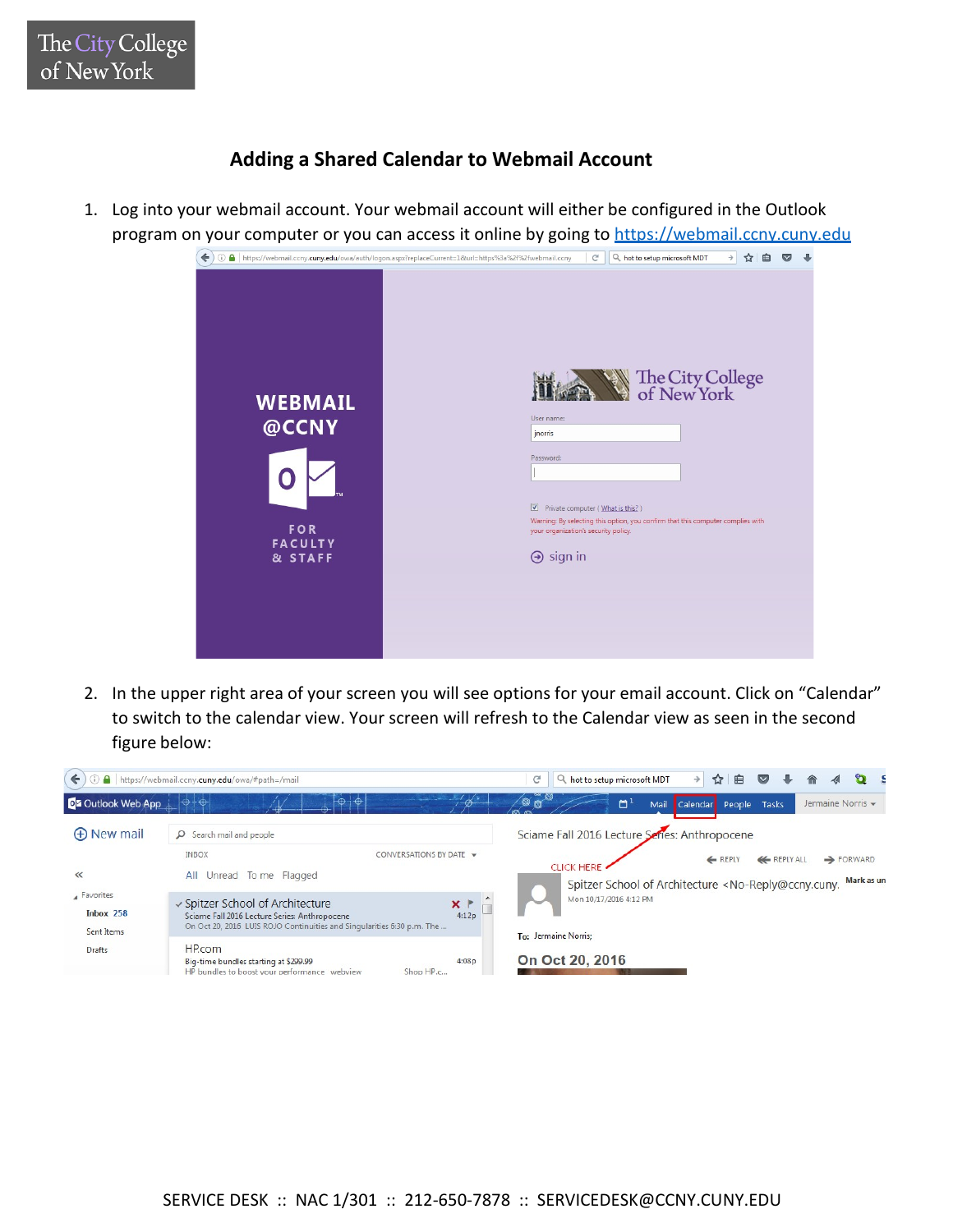## **Adding a Shared Calendar to Webmail Account**

1. Log into your webmail account. Your webmail account will either be configured in the Outlook program on your computer or you can access it online by going to https://webmail.ccny.cuny.edu



2. In the upper right area of your screen you will see options for your email account. Click on "Calendar" to switch to the calendar view. Your screen will refresh to the Calendar view as seen in the second figure below:

| https://webmail.ccny.cuny.edu/owa/#path=/mail | c                                                                                                                                                                                           | hot to setup microsoft MDT                                                                                                                                                    |                 | $\rightarrow$                                  | ☆<br>≘ | $\triangledown$            |  |  |  |                   |
|-----------------------------------------------|---------------------------------------------------------------------------------------------------------------------------------------------------------------------------------------------|-------------------------------------------------------------------------------------------------------------------------------------------------------------------------------|-----------------|------------------------------------------------|--------|----------------------------|--|--|--|-------------------|
| <b>D</b> 2 Outlook Web App                    | $+\oplus$<br>$\oplus$                                                                                                                                                                       | $-65$                                                                                                                                                                         | 00 <sup>4</sup> | a,                                             |        | Mail Calendar People Tasks |  |  |  | Jermaine Norris - |
| <b>(+)</b> New mail                           | Search mail and people<br>Ω                                                                                                                                                                 | Sciame Fall 2016 Lecture Series: Anthropocene                                                                                                                                 |                 |                                                |        |                            |  |  |  |                   |
| $\ll$                                         | <b>INBOX</b><br>CONVERSATIONS BY DATE V<br>To me Flagged<br>AIL<br>Unread                                                                                                                   | <b>KEPLY ALL</b><br>← REPLY<br>$\rightarrow$ FORWARD<br><b>CLICK HERE</b><br>Mark as un<br>Spitzer School of Architecture <no-reply@ccny.cuny.< td=""></no-reply@ccny.cuny.<> |                 |                                                |        |                            |  |  |  |                   |
| Favorites<br>Inbox 258<br>Sent Items          | √ Spitzer School of Architecture<br>$x \upharpoonright$<br>4:12p<br>Sciame Fall 2016 Lecture Series: Anthropocene<br>On Oct 20, 2016 LUIS ROJO Continuities and Singularities 6:30 p.m. The |                                                                                                                                                                               |                 | Mon 10/17/2016 4:12 PM<br>To: Jermaine Norris; |        |                            |  |  |  |                   |
| Drafts                                        | HP.com<br>Big-time bundles starting at \$299.99<br>HP bundles to boost your performance webview<br>Shop HP.c                                                                                |                                                                                                                                                                               | On Oct 20, 2016 |                                                |        |                            |  |  |  |                   |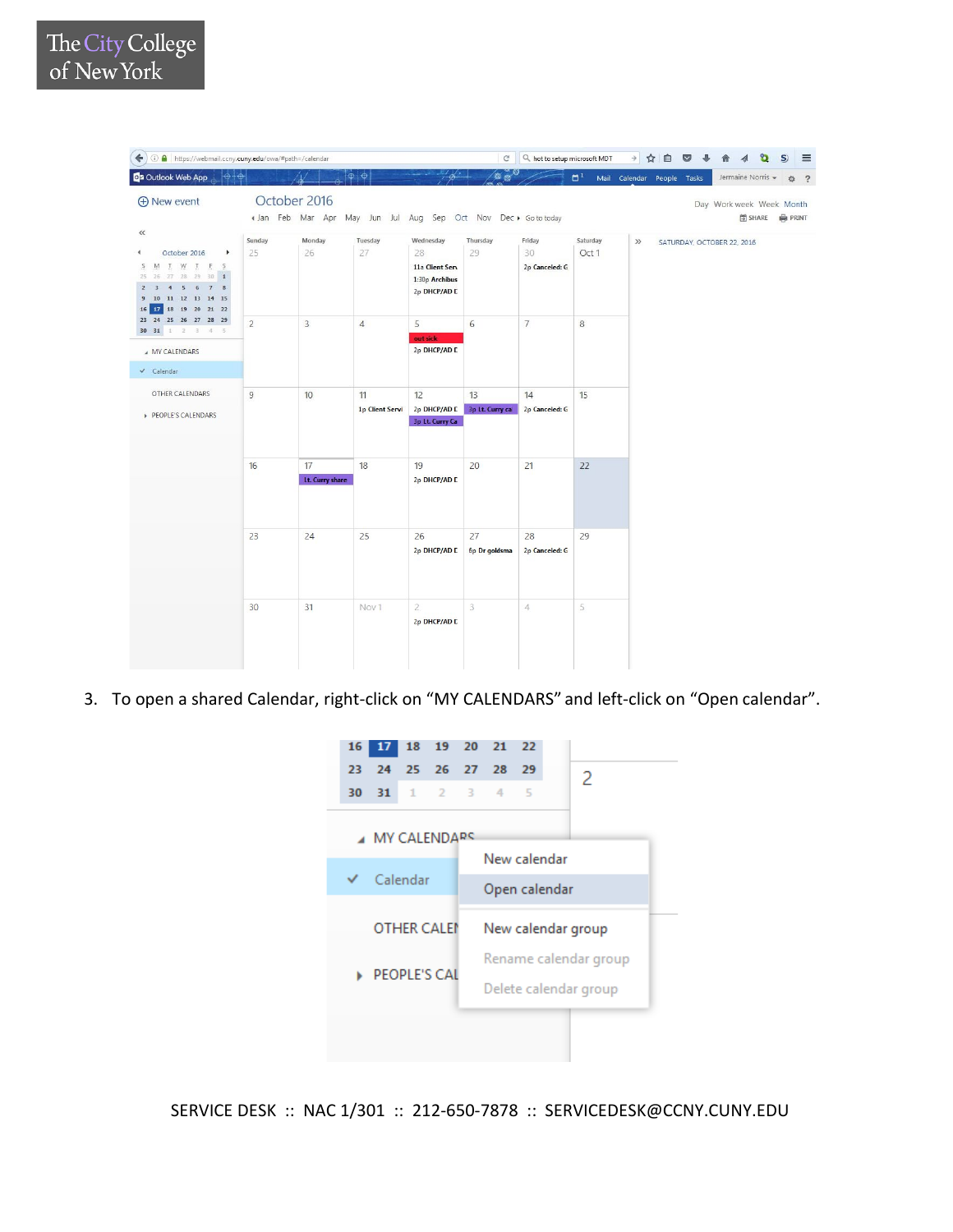| 1 1 https://webmail.ccny.cuny.edu/owa/#path=/calendar<br>$\leftarrow$                                                                                                                                                              |                |                       |                                                               |                                                                      | $\mathcal{C}$         | Q hot to setup microsoft MDT   |                     |                            |  |                            |                 | S) | $\equiv$       |
|------------------------------------------------------------------------------------------------------------------------------------------------------------------------------------------------------------------------------------|----------------|-----------------------|---------------------------------------------------------------|----------------------------------------------------------------------|-----------------------|--------------------------------|---------------------|----------------------------|--|----------------------------|-----------------|----|----------------|
| 0 <sup>2</sup> Outlook Web App                                                                                                                                                                                                     |                |                       | $\theta$<br>$\oplus$                                          |                                                                      | $\circ$ $\circ$       |                                | $\Box$ <sup>1</sup> | Mail Calendar People Tasks |  | Jermaine Norris -          |                 | 登  | $\overline{?}$ |
| $\bigoplus$ New event                                                                                                                                                                                                              | October 2016   |                       | « Jan Feb Mar Apr May Jun Jul Aug Sep Oct Nov Dec > Gototoday |                                                                      |                       |                                |                     |                            |  | Day Work week Week Month   | 图 SHARE 编 PRINT |    |                |
| $\ll$<br>October 2016<br>$\blacktriangleright$<br>€<br>IWIES<br>M<br>S<br>27 28 29 30 1<br>25<br>$5 \t6 \t7 \t8$<br>$\overline{4}$<br>11    12    13    14    15<br>$\overline{9}$<br>10<br>18    19    20    21    22<br>16<br>17 | Sunday<br>25   | Monday<br>26          | Tuesday<br>27                                                 | Wednesday<br>28<br>11a Client Serv<br>1:30p Archibus<br>2p DHCP/AD E | Thursday<br>29        | Friday<br>30<br>2p Canceled: G | Saturday<br>Oct 1   | $\gg$                      |  | SATURDAY, OCTOBER 22, 2016 |                 |    |                |
| 23 24 25 26 27 28 29<br>30 31 1 2 3 4 5<br>A MY CALENDARS<br>$\checkmark$ Calendar                                                                                                                                                 | $\overline{2}$ | 3                     | $\overline{4}$                                                | 5<br>out sick<br>2p DHCP/AD C                                        | $6\,$                 | $\overline{7}$                 | 8                   |                            |  |                            |                 |    |                |
| OTHER CALENDARS<br>PEOPLE'S CALENDARS                                                                                                                                                                                              | 9              | 10                    | 11<br><b>1p Client Servi</b>                                  | 12<br>2p DHCP/AD E<br>3p Lt. Curry Ca                                | 13<br>3p Lt. Curry ca | 14<br>2p Canceled: G           | 15                  |                            |  |                            |                 |    |                |
|                                                                                                                                                                                                                                    | 16             | 17<br>Lt. Curry share | 18                                                            | 19<br>2p DHCP/AD E                                                   | 20                    | 21                             | 22                  |                            |  |                            |                 |    |                |
|                                                                                                                                                                                                                                    | 23             | 24                    | 25                                                            | 26<br>2p DHCP/AD E                                                   | 27<br>6p Dr goldsma   | 28<br>2p Canceled: G           | 29                  |                            |  |                            |                 |    |                |
|                                                                                                                                                                                                                                    | 30             | 31                    | Nov1                                                          | $\overline{2}$<br>2p DHCP/AD D                                       | 3                     | $\overline{4}$                 | 5                   |                            |  |                            |                 |    |                |

3. To open a shared Calendar, right-click on "MY CALENDARS" and left-click on "Open calendar".



SERVICE DESK :: NAC 1/301 :: 212-650-7878 :: SERVICEDESK@CCNY.CUNY.EDU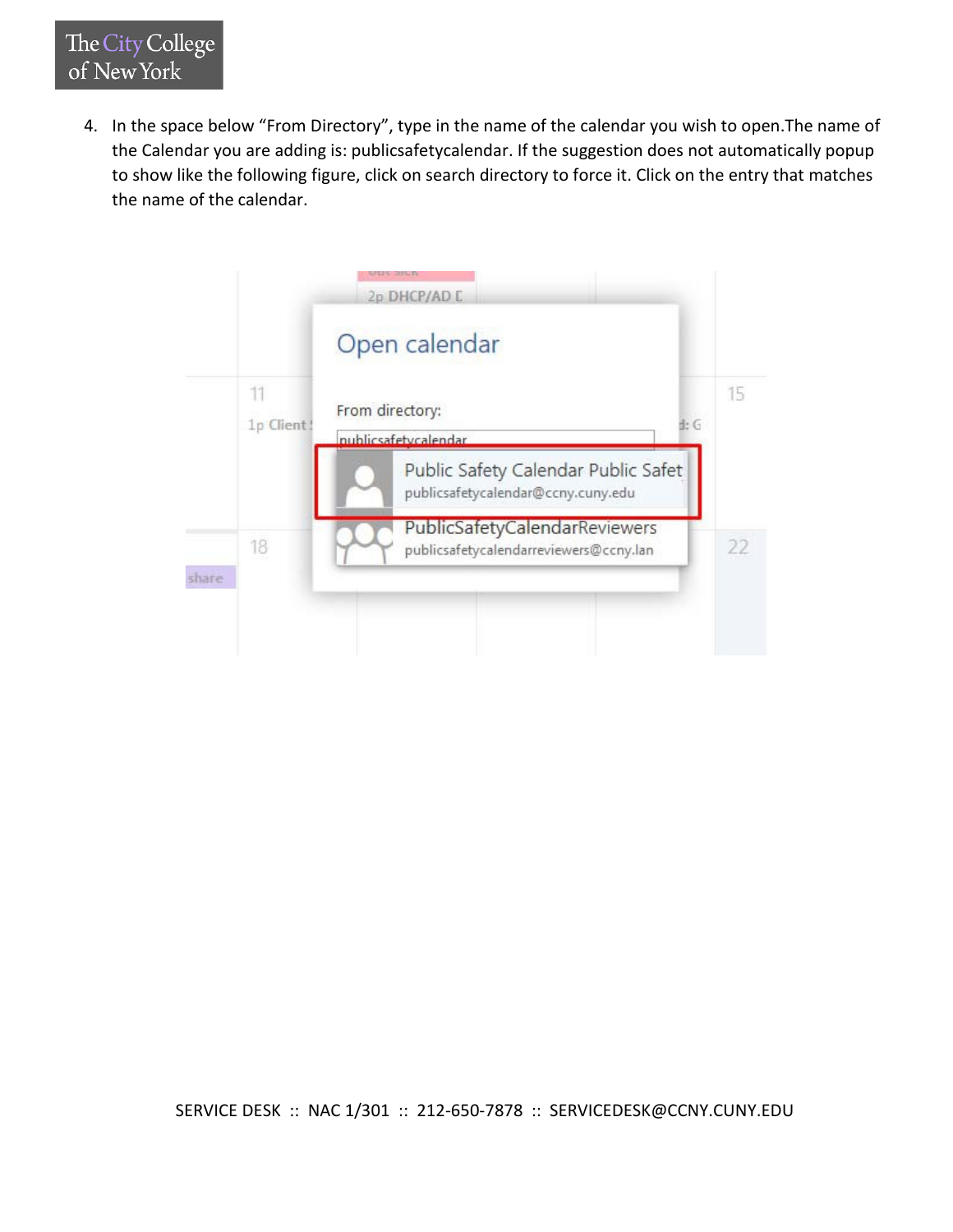4. In the space below "From Directory", type in the name of the calendar you wish to open.The name of the Calendar you are adding is: publicsafetycalendar. If the suggestion does not automatically popup to show like the following figure, click on search directory to force it. Click on the entry that matches the name of the calendar.

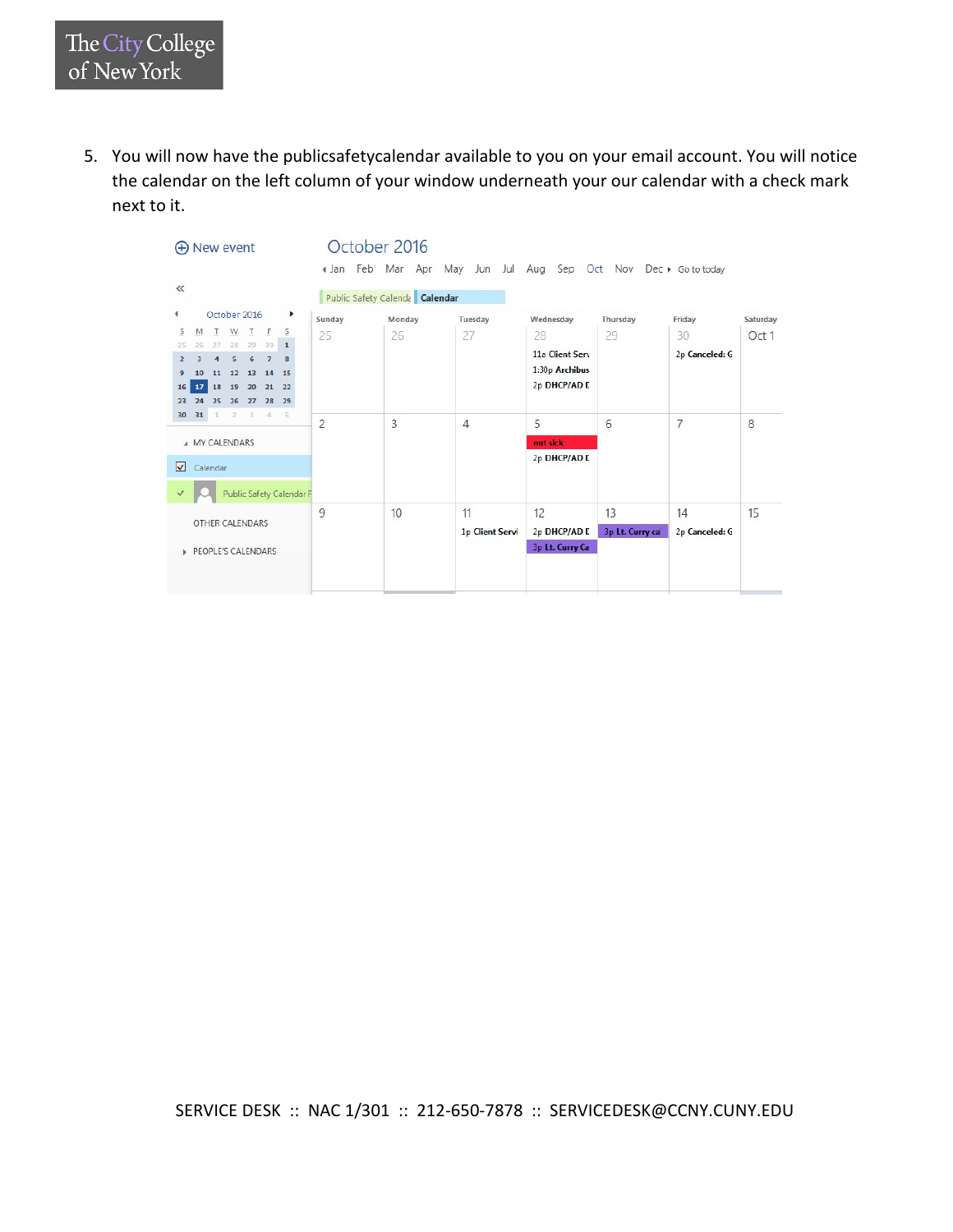5. You will now have the publicsafetycalendar available to you on your email account. You will notice the calendar on the left column of your window underneath your our calendar with a check mark next to it.



SERVICE DESK :: NAC 1/301 :: 212-650-7878 :: SERVICEDESK@CCNY.CUNY.EDU